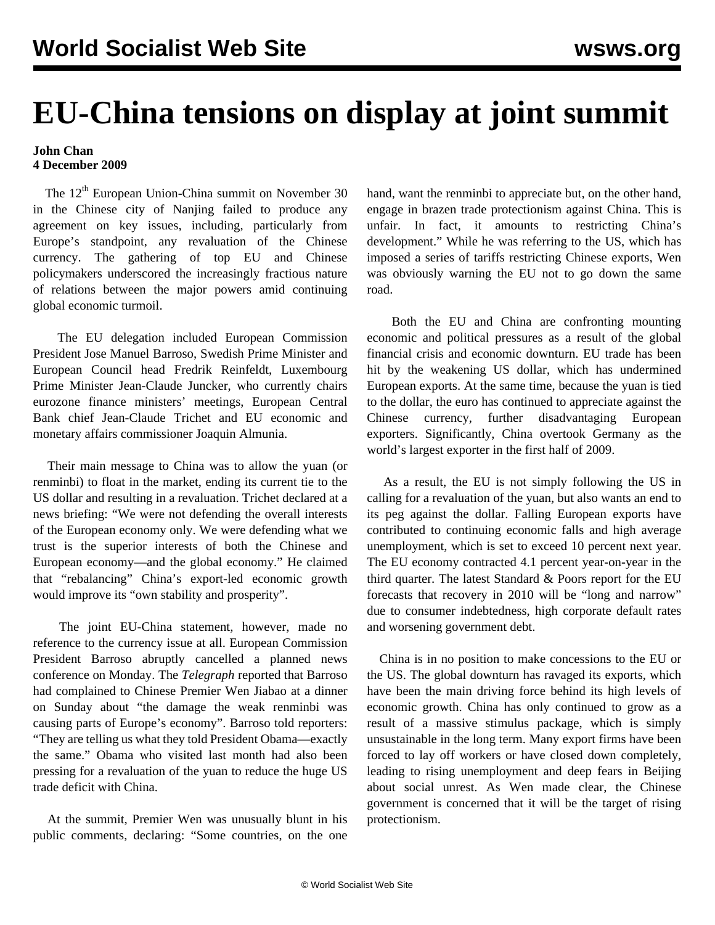## **EU-China tensions on display at joint summit**

## **John Chan 4 December 2009**

The 12<sup>th</sup> European Union-China summit on November 30 in the Chinese city of Nanjing failed to produce any agreement on key issues, including, particularly from Europe's standpoint, any revaluation of the Chinese currency. The gathering of top EU and Chinese policymakers underscored the increasingly fractious nature of relations between the major powers amid continuing global economic turmoil.

 The EU delegation included European Commission President Jose Manuel Barroso, Swedish Prime Minister and European Council head Fredrik Reinfeldt, Luxembourg Prime Minister Jean-Claude Juncker, who currently chairs eurozone finance ministers' meetings, European Central Bank chief Jean-Claude Trichet and EU economic and monetary affairs commissioner Joaquin Almunia.

 Their main message to China was to allow the yuan (or renminbi) to float in the market, ending its current tie to the US dollar and resulting in a revaluation. Trichet declared at a news briefing: "We were not defending the overall interests of the European economy only. We were defending what we trust is the superior interests of both the Chinese and European economy—and the global economy." He claimed that "rebalancing" China's export-led economic growth would improve its "own stability and prosperity".

 The joint EU-China statement, however, made no reference to the currency issue at all. European Commission President Barroso abruptly cancelled a planned news conference on Monday. The *Telegraph* reported that Barroso had complained to Chinese Premier Wen Jiabao at a dinner on Sunday about "the damage the weak renminbi was causing parts of Europe's economy". Barroso told reporters: "They are telling us what they told President Obama—exactly the same." Obama who visited last month had also been pressing for a revaluation of the yuan to reduce the huge US trade deficit with China.

 At the summit, Premier Wen was unusually blunt in his public comments, declaring: "Some countries, on the one hand, want the renminbi to appreciate but, on the other hand, engage in brazen trade protectionism against China. This is unfair. In fact, it amounts to restricting China's development." While he was referring to the US, which has imposed a series of tariffs restricting Chinese exports, Wen was obviously warning the EU not to go down the same road.

 Both the EU and China are confronting mounting economic and political pressures as a result of the global financial crisis and economic downturn. EU trade has been hit by the weakening US dollar, which has undermined European exports. At the same time, because the yuan is tied to the dollar, the euro has continued to appreciate against the Chinese currency, further disadvantaging European exporters. Significantly, China overtook Germany as the world's largest exporter in the first half of 2009.

 As a result, the EU is not simply following the US in calling for a revaluation of the yuan, but also wants an end to its peg against the dollar. Falling European exports have contributed to continuing economic falls and high average unemployment, which is set to exceed 10 percent next year. The EU economy contracted 4.1 percent year-on-year in the third quarter. The latest Standard & Poors report for the EU forecasts that recovery in 2010 will be "long and narrow" due to consumer indebtedness, high corporate default rates and worsening government debt.

 China is in no position to make concessions to the EU or the US. The global downturn has ravaged its exports, which have been the main driving force behind its high levels of economic growth. China has only continued to grow as a result of a massive stimulus package, which is simply unsustainable in the long term. Many export firms have been forced to lay off workers or have closed down completely, leading to rising unemployment and deep fears in Beijing about social unrest. As Wen made clear, the Chinese government is concerned that it will be the target of rising protectionism.